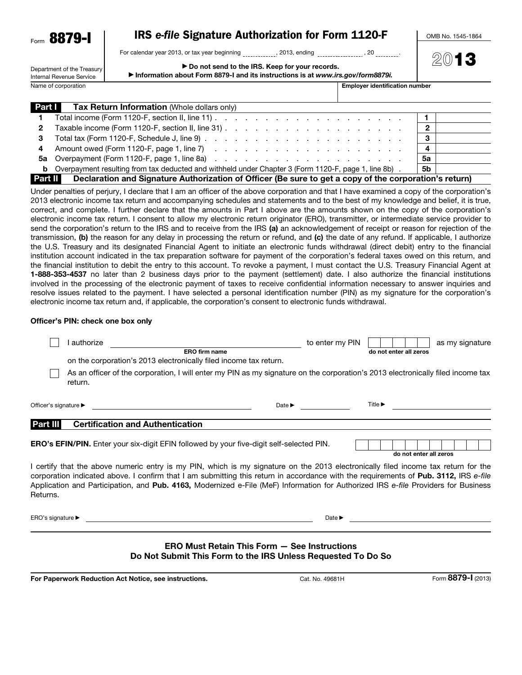| Form | σ<br>887<br>11 |
|------|----------------|
|------|----------------|

# IRS *e-file* Signature Authorization for Form 1120-F

For calendar year 2013, or tax year beginning \_\_\_\_\_\_\_\_\_\_\_, 2013, ending \_\_\_\_\_\_\_\_\_\_\_\_\_, 20 \_\_\_\_\_\_\_\_\_;

OMB No. 1545-1864

| Department of the Treasury |  |  |  |
|----------------------------|--|--|--|
| Internal Revenue Service   |  |  |  |
| Namo of corporation        |  |  |  |

▶ Do not send to the IRS. Keep for your records.

▶ Information abo

2013

 $\overline{\phantom{a}}$  Employer identification number

| ut Form 8879-I and its instructions is at www.irs.gov/form8879i. |  |
|------------------------------------------------------------------|--|
|------------------------------------------------------------------|--|

| Part I       | <b>Tax Return Information</b> (Whole dollars only)                                                            |           |
|--------------|---------------------------------------------------------------------------------------------------------------|-----------|
| $\mathbf 1$  |                                                                                                               |           |
| $\mathbf{2}$ |                                                                                                               | 2         |
| 3            |                                                                                                               | 3         |
| 4            |                                                                                                               | 4         |
|              |                                                                                                               | 5a        |
|              | <b>b</b> Overpayment resulting from tax deducted and withheld under Chapter 3 (Form 1120-F, page 1, line 8b). | <b>5b</b> |
| Part II      | Declaration and Signature Authorization of Officer (Be sure to get a copy of the corporation's return)        |           |

Under penalties of perjury, I declare that I am an officer of the above corporation and that I have examined a copy of the corporation's 2013 electronic income tax return and accompanying schedules and statements and to the best of my knowledge and belief, it is true, correct, and complete. I further declare that the amounts in Part I above are the amounts shown on the copy of the corporation's electronic income tax return. I consent to allow my electronic return originator (ERO), transmitter, or intermediate service provider to send the corporation's return to the IRS and to receive from the IRS (a) an acknowledgement of receipt or reason for rejection of the transmission, (b) the reason for any delay in processing the return or refund, and (c) the date of any refund. If applicable, I authorize the U.S. Treasury and its designated Financial Agent to initiate an electronic funds withdrawal (direct debit) entry to the financial institution account indicated in the tax preparation software for payment of the corporation's federal taxes owed on this return, and the financial institution to debit the entry to this account. To revoke a payment, I must contact the U.S. Treasury Financial Agent at 1-888-353-4537 no later than 2 business days prior to the payment (settlement) date. I also authorize the financial institutions involved in the processing of the electronic payment of taxes to receive confidential information necessary to answer inquiries and resolve issues related to the payment. I have selected a personal identification number (PIN) as my signature for the corporation's electronic income tax return and, if applicable, the corporation's consent to electronic funds withdrawal.

#### Officer's PIN: check one box only

|                                       | authorize | <b>ERO</b> firm name                                                                                                                                                                                                                                                                                                                                                                                             | to enter my PIN            |                             | do not enter all zeros                                                          | as my signature |
|---------------------------------------|-----------|------------------------------------------------------------------------------------------------------------------------------------------------------------------------------------------------------------------------------------------------------------------------------------------------------------------------------------------------------------------------------------------------------------------|----------------------------|-----------------------------|---------------------------------------------------------------------------------|-----------------|
|                                       |           | on the corporation's 2013 electronically filed income tax return.                                                                                                                                                                                                                                                                                                                                                |                            |                             |                                                                                 |                 |
|                                       | return.   | As an officer of the corporation, I will enter my PIN as my signature on the corporation's 2013 electronically filed income tax                                                                                                                                                                                                                                                                                  |                            |                             |                                                                                 |                 |
| Officer's signature ▶                 |           | the contract of the contract of the contract of the contract of the contract of                                                                                                                                                                                                                                                                                                                                  | $Date \triangleright$      | Title $\blacktriangleright$ |                                                                                 |                 |
| Part III                              |           | <b>Certification and Authentication</b>                                                                                                                                                                                                                                                                                                                                                                          |                            |                             |                                                                                 |                 |
|                                       |           | <b>ERO's EFIN/PIN.</b> Enter your six-digit EFIN followed by your five-digit self-selected PIN.                                                                                                                                                                                                                                                                                                                  |                            |                             | do not enter all zeros                                                          |                 |
| Returns.                              |           | I certify that the above numeric entry is my PIN, which is my signature on the 2013 electronically filed income tax return for the<br>corporation indicated above. I confirm that I am submitting this return in accordance with the requirements of Pub. 3112, IRS e-file<br>Application and Participation, and Pub. 4163, Modernized e-File (MeF) Information for Authorized IRS e-file Providers for Business |                            |                             |                                                                                 |                 |
| ERO's signature $\blacktriangleright$ |           | <u> 1989 - Johann Stoff, deutscher Stoff, der Stoff, der Stoff, der Stoff, der Stoff, der Stoff, der Stoff, der S</u>                                                                                                                                                                                                                                                                                            | Date $\blacktriangleright$ |                             | the contract of the contract of the contract of the contract of the contract of |                 |
|                                       |           | FRA M R                                                                                                                                                                                                                                                                                                                                                                                                          | Osa Isabu sabasa           |                             |                                                                                 |                 |

#### ERO Must Retain This Form — See Instructions Do Not Submit This Form to the IRS Unless Requested To Do So

For Paperwork Reduction Act Notice, see instructions. The Cat. No. 49681H Form 8879-I (2013)